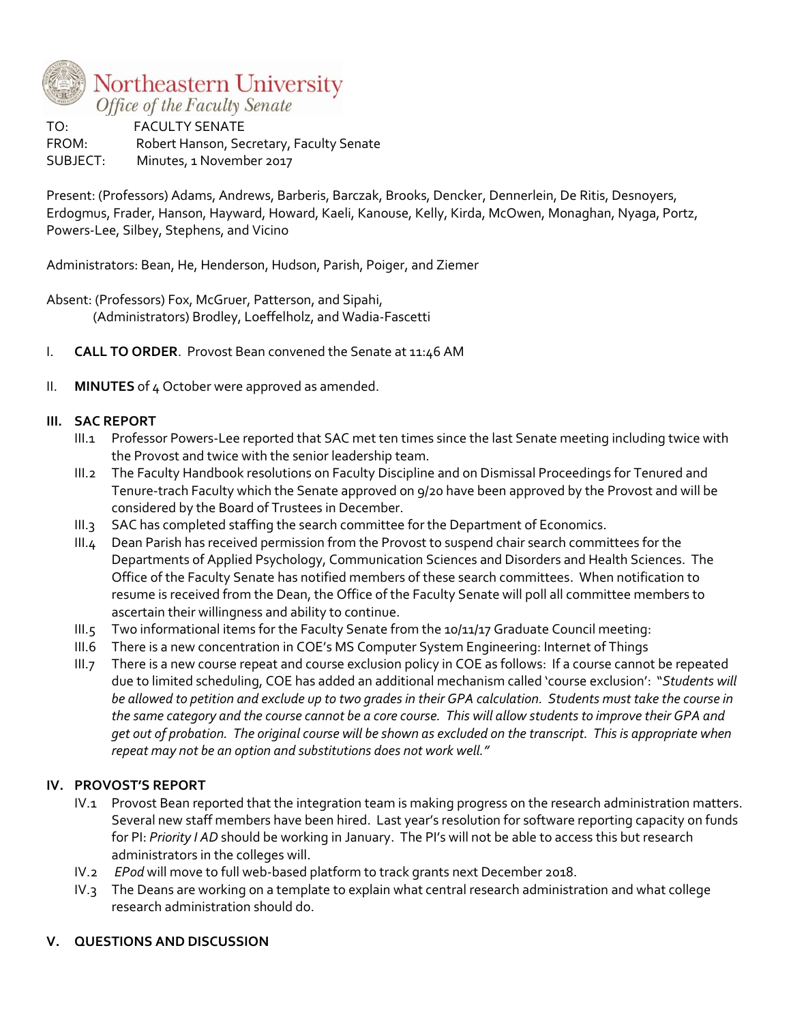

TO: FACULTY SENATE FROM: Robert Hanson, Secretary, Faculty Senate SUBJECT: Minutes, 1 November 2017

Present: (Professors) Adams, Andrews, Barberis, Barczak, Brooks, Dencker, Dennerlein, De Ritis, Desnoyers, Erdogmus, Frader, Hanson, Hayward, Howard, Kaeli, Kanouse, Kelly, Kirda, McOwen, Monaghan, Nyaga, Portz, Powers-Lee, Silbey, Stephens, and Vicino

Administrators: Bean, He, Henderson, Hudson, Parish, Poiger, and Ziemer

Absent: (Professors) Fox, McGruer, Patterson, and Sipahi, (Administrators) Brodley, Loeffelholz, and Wadia-Fascetti

- I. **CALL TO ORDER**. Provost Bean convened the Senate at 11:46 AM
- II. **MINUTES** of 4 October were approved as amended.

# **III. SAC REPORT**

- III.1 Professor Powers-Lee reported that SAC met ten times since the last Senate meeting including twice with the Provost and twice with the senior leadership team.
- III.2 The Faculty Handbook resolutions on Faculty Discipline and on Dismissal Proceedings for Tenured and Tenure-trach Faculty which the Senate approved on 9/20 have been approved by the Provost and will be considered by the Board of Trustees in December.
- III.3 SAC has completed staffing the search committee for the Department of Economics.
- III.4 Dean Parish has received permission from the Provost to suspend chair search committees for the Departments of Applied Psychology, Communication Sciences and Disorders and Health Sciences. The Office of the Faculty Senate has notified members of these search committees. When notification to resume is received from the Dean, the Office of the Faculty Senate will poll all committee members to ascertain their willingness and ability to continue.
- III.5 Two informational items for the Faculty Senate from the 10/11/17 Graduate Council meeting:
- III.6 There is a new concentration in COE's MS Computer System Engineering: Internet of Things
- III.7 There is a new course repeat and course exclusion policy in COE as follows: If a course cannot be repeated due to limited scheduling, COE has added an additional mechanism called 'course exclusion': "*Students will be allowed to petition and exclude up to two grades in their GPA calculation. Students must take the course in the same category and the course cannot be a core course. This will allow students to improve their GPA and get out of probation. The original course will be shown as excluded on the transcript. This is appropriate when repeat may not be an option and substitutions does not work well."*

# **IV. PROVOST'S REPORT**

- IV.1 Provost Bean reported that the integration team is making progress on the research administration matters. Several new staff members have been hired. Last year's resolution for software reporting capacity on funds for PI: *Priority I AD* should be working in January. The PI's will not be able to access this but research administrators in the colleges will.
- IV.2 *EPod* will move to full web-based platform to track grants next December 2018.
- IV.3 The Deans are working on a template to explain what central research administration and what college research administration should do.

### **V. QUESTIONS AND DISCUSSION**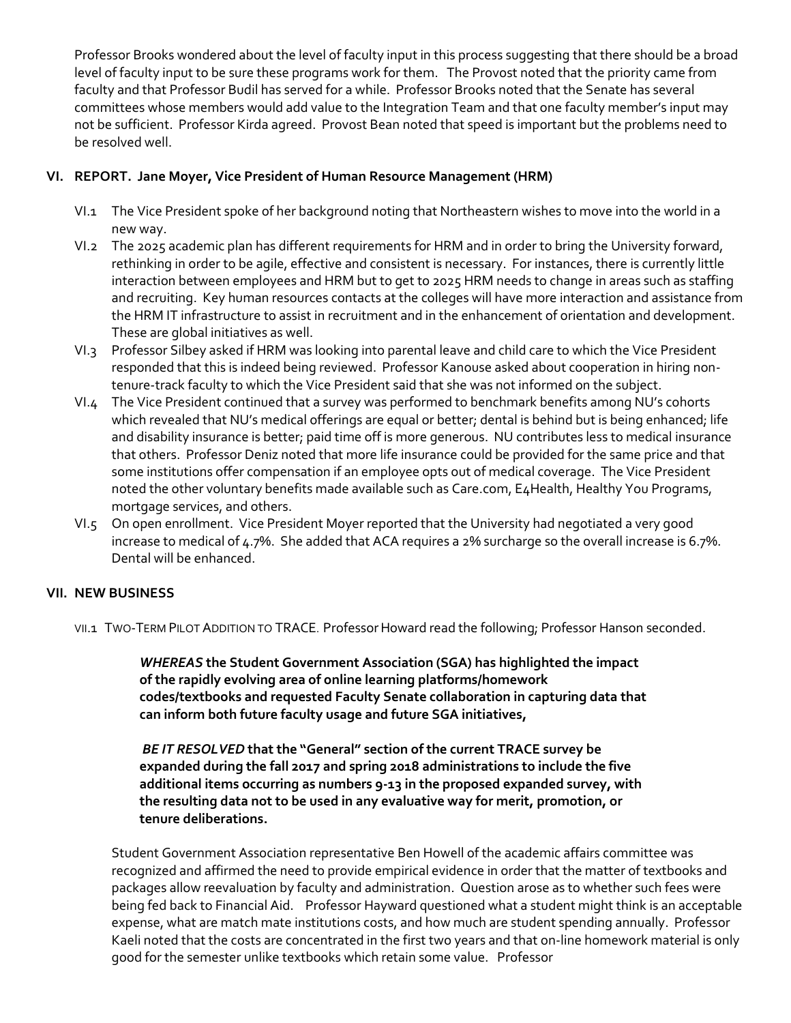Professor Brooks wondered about the level of faculty input in this process suggesting that there should be a broad level of faculty input to be sure these programs work for them. The Provost noted that the priority came from faculty and that Professor Budil has served for a while. Professor Brooks noted that the Senate has several committees whose members would add value to the Integration Team and that one faculty member's input may not be sufficient. Professor Kirda agreed. Provost Bean noted that speed is important but the problems need to be resolved well.

# **VI. REPORT. Jane Moyer, Vice President of Human Resource Management (HRM)**

- VI.1 The Vice President spoke of her background noting that Northeastern wishes to move into the world in a new way.
- VI.2 The 2025 academic plan has different requirements for HRM and in order to bring the University forward, rethinking in order to be agile, effective and consistent is necessary. For instances, there is currently little interaction between employees and HRM but to get to 2025 HRM needs to change in areas such as staffing and recruiting. Key human resources contacts at the colleges will have more interaction and assistance from the HRM IT infrastructure to assist in recruitment and in the enhancement of orientation and development. These are global initiatives as well.
- VI.3 Professor Silbey asked if HRM was looking into parental leave and child care to which the Vice President responded that this is indeed being reviewed. Professor Kanouse asked about cooperation in hiring nontenure-track faculty to which the Vice President said that she was not informed on the subject.
- VI.4 The Vice President continued that a survey was performed to benchmark benefits among NU's cohorts which revealed that NU's medical offerings are equal or better; dental is behind but is being enhanced; life and disability insurance is better; paid time off is more generous. NU contributes less to medical insurance that others. Professor Deniz noted that more life insurance could be provided for the same price and that some institutions offer compensation if an employee opts out of medical coverage. The Vice President noted the other voluntary benefits made available such as Care.com, E4Health, Healthy You Programs, mortgage services, and others.
- VI.5 On open enrollment. Vice President Moyer reported that the University had negotiated a very good increase to medical of 4.7%. She added that ACA requires a 2% surcharge so the overall increase is 6.7%. Dental will be enhanced.

### **VII. NEW BUSINESS**

VII.1 TWO-TERM PILOT ADDITION TO TRACE. Professor Howard read the following; Professor Hanson seconded.

*WHEREAS* **the Student Government Association (SGA) has highlighted the impact of the rapidly evolving area of online learning platforms/homework codes/textbooks and requested Faculty Senate collaboration in capturing data that can inform both future faculty usage and future SGA initiatives,**

*BE IT RESOLVED* **that the "General" section of the current TRACE survey be expanded during the fall 2017 and spring 2018 administrations to include the five additional items occurring as numbers 9-13 in the proposed expanded survey, with the resulting data not to be used in any evaluative way for merit, promotion, or tenure deliberations.**

Student Government Association representative Ben Howell of the academic affairs committee was recognized and affirmed the need to provide empirical evidence in order that the matter of textbooks and packages allow reevaluation by faculty and administration. Question arose as to whether such fees were being fed back to Financial Aid. Professor Hayward questioned what a student might think is an acceptable expense, what are match mate institutions costs, and how much are student spending annually. Professor Kaeli noted that the costs are concentrated in the first two years and that on-line homework material is only good for the semester unlike textbooks which retain some value. Professor